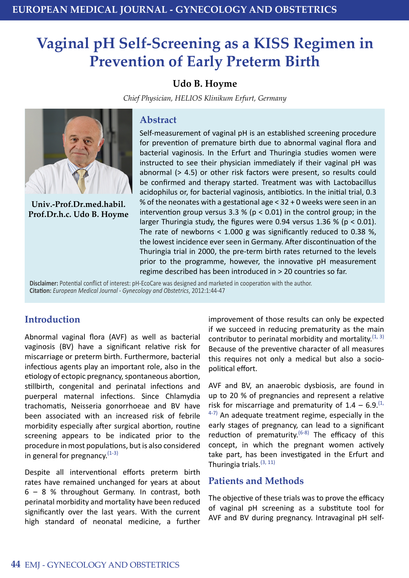# **Vaginal pH Self-Screening as a KISS Regimen in Prevention of Early Preterm Birth**

# **Udo B. Hoyme**

*Chief Physician, HELIOS Klinikum Erfurt, Germany* 



**Univ.-Prof.Dr.med.habil. Prof.Dr.h.c. Udo B. Hoyme**

#### **Abstract**

Self-measurement of vaginal pH is an established screening procedure for prevention of premature birth due to abnormal vaginal flora and bacterial vaginosis. In the Erfurt and Thuringia studies women were instructed to see their physician immediately if their vaginal pH was abnormal (> 4.5) or other risk factors were present, so results could be confirmed and therapy started. Treatment was with Lactobacillus acidophilus or, for bacterial vaginosis, antibiotics. In the initial trial, 0.3 % of the neonates with a gestational age < 32 + 0 weeks were seen in an intervention group versus 3.3 % ( $p < 0.01$ ) in the control group; in the larger Thuringia study, the figures were 0.94 versus 1.36 % (p < 0.01). The rate of newborns  $<$  1.000 g was significantly reduced to 0.38 %, the lowest incidence ever seen in Germany. After discontinuation of the Thuringia trial in 2000, the pre-term birth rates returned to the levels prior to the programme, however, the innovative pH measurement regime described has been introduced in > 20 countries so far.

**Disclaimer:** Potential conflict of interest: pH-EcoCare was designed and marketed in cooperation with the author. **Citation:** *European Medical Journal - Gynecology and Obstetrics*, 2012:1:44-47

# **Introduction**

Abnormal vaginal flora (AVF) as well as bacterial vaginosis (BV) have a significant relative risk for miscarriage or preterm birth. Furthermore, bacterial infectious agents play an important role, also in the etiology of ectopic pregnancy, spontaneous abortion, stillbirth, congenital and perinatal infections and puerperal maternal infections. Since Chlamydia trachomatis, Neisseria gonorrhoeae and BV have been associated with an increased risk of febrile morbidity especially after surgical abortion, routine screening appears to be indicated prior to the procedure in most populations, but is also considered in general for pregnancy. $(1-3)$ 

Despite all interventional efforts preterm birth rates have remained unchanged for years at about 6 – 8 % throughout Germany. In contrast, both perinatal morbidity and mortality have been reduced significantly over the last years. With the current high standard of neonatal medicine, a further

improvement of those results can only be expected if we succeed in reducing prematurity as the main contributor to perinatal morbidity and mortality.  $(1, 3)$ Because of the preventive character of all measures this requires not only a medical but also a sociopolitical effort.

AVF and BV, an anaerobic dysbiosis, are found in up to 20 % of pregnancies and represent a relative risk for miscarriage and prematurity of  $1.4 - 6.9$ .<sup>(1,</sup>  $4-7$ ) An adequate treatment regime, especially in the early stages of pregnancy, can lead to a significant reduction of prematurity.<sup>(6-8)</sup> The efficacy of this concept, in which the pregnant women actively take part, has been investigated in the Erfurt and Thuringia trials.  $(3, 11)$ 

## **Patients and Methods**

The objective of these trials was to prove the efficacy of vaginal pH screening as a substitute tool for AVF and BV during pregnancy. Intravaginal pH self-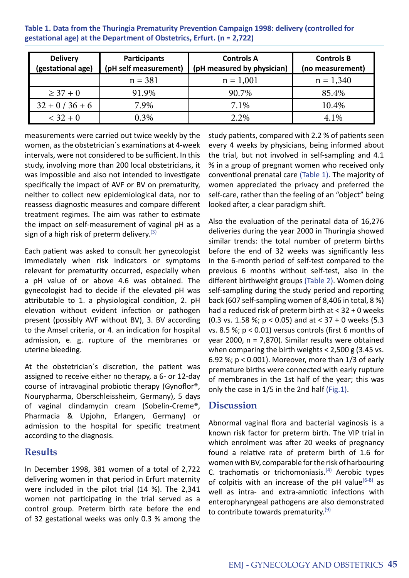**Table 1. Data from the Thuringia Prematurity Prevention Campaign 1998: delivery (controlled for gestational age) at the Department of Obstetrics, Erfurt. (n = 2,722)**

| <b>Delivery</b><br>(gestational age) | Participants<br>(pH self measurement) | <b>Controls A</b><br>(pH measured by physician) | <b>Controls B</b><br>(no measurement) |  |  |
|--------------------------------------|---------------------------------------|-------------------------------------------------|---------------------------------------|--|--|
|                                      | $n = 381$                             | $n = 1,001$                                     | $n = 1,340$                           |  |  |
| $\geq 37 + 0$                        | 91.9%                                 | 90.7%                                           | 85.4%                                 |  |  |
| $32 + 0 / 36 + 6$                    | 7.9%                                  | 7.1%                                            | 10.4%                                 |  |  |
| $< 32 + 0$                           | 0.3%                                  | 2.2%                                            | 4.1%                                  |  |  |

measurements were carried out twice weekly by the women, as the obstetrician´s examinations at 4-week intervals, were not considered to be sufficient. In this study, involving more than 200 local obstetricians, it was impossible and also not intended to investigate specifically the impact of AVF or BV on prematurity, neither to collect new epidemiological data, nor to reassess diagnostic measures and compare different treatment regimes. The aim was rather to estimate the impact on self-measurement of vaginal pH as a sign of a high risk of preterm delivery.  $(3)$ 

Each patient was asked to consult her gynecologist immediately when risk indicators or symptoms relevant for prematurity occurred, especially when a pH value of or above 4.6 was obtained. The gynecologist had to decide if the elevated pH was attributable to 1. a physiological condition, 2. pH elevation without evident infection or pathogen present (possibly AVF without BV), 3. BV according to the Amsel criteria, or 4. an indication for hospital admission, e. g. rupture of the membranes or uterine bleeding.

At the obstetrician´s discretion, the patient was assigned to receive either no therapy, a 6- or 12-day course of intravaginal probiotic therapy (Gynoflor®, Nourypharma, Oberschleissheim, Germany), 5 days of vaginal clindamycin cream (Sobelin-Creme®, Pharmacia & Upjohn, Erlangen, Germany) or admission to the hospital for specific treatment according to the diagnosis.

## **Results**

In December 1998, 381 women of a total of 2,722 delivering women in that period in Erfurt maternity were included in the pilot trial (14 %). The 2,341 women not participating in the trial served as a control group. Preterm birth rate before the end of 32 gestational weeks was only 0.3 % among the

study patients, compared with 2.2 % of patients seen every 4 weeks by physicians, being informed about the trial, but not involved in self-sampling and 4.1 % in a group of pregnant women who received only conventional prenatal care (Table 1). The majority of women appreciated the privacy and preferred the self-care, rather than the feeling of an "object" being looked after, a clear paradigm shift.

Also the evaluation of the perinatal data of 16,276 deliveries during the year 2000 in Thuringia showed similar trends: the total number of preterm births before the end of 32 weeks was significantly less in the 6-month period of self-test compared to the previous 6 months without self-test, also in the different birthweight groups (Table 2). Women doing self-sampling during the study period and reporting back (607 self-sampling women of 8,406 in total, 8 %) had a reduced risk of preterm birth at < 32 + 0 weeks (0.3 vs. 1.58 %;  $p < 0.05$ ) and at  $< 37 + 0$  weeks (5.3) vs. 8.5 %; p < 0.01) versus controls (first 6 months of year 2000, n = 7,870). Similar results were obtained when comparing the birth weights  $< 2,500$  g (3.45 vs. 6.92 %; p < 0.001). Moreover, more than 1/3 of early premature births were connected with early rupture of membranes in the 1st half of the year; this was only the case in 1/5 in the 2nd half (Fig.1).

# **Discussion**

Abnormal vaginal flora and bacterial vaginosis is a known risk factor for preterm birth. The VIP trial in which enrolment was after 20 weeks of pregnancy found a relative rate of preterm birth of 1.6 for women with BV, comparable for the risk of harbouring C. trachomatis or trichomoniasis. $(4)$  Aerobic types of colpitis with an increase of the pH value  $(6-8)$  as well as intra- and extra-amniotic infections with enteropharyngeal pathogens are also demonstrated to contribute towards prematurity. $(9)$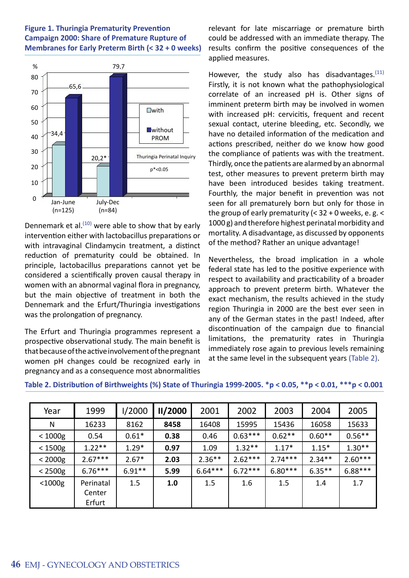#### **Figure 1. Thuringia Prematurity Prevention Campaign 2000: Share of Premature Rupture of Membranes for Early Preterm Birth (< 32 + 0 weeks)**



Dennemark et al. $(10)$  were able to show that by early intervention either with lactobacillus preparations or with intravaginal Clindamycin treatment, a distinct reduction of prematurity could be obtained. In principle, lactobacillus preparations cannot yet be considered a scientifically proven causal therapy in women with an abnormal vaginal flora in pregnancy, but the main objective of treatment in both the Dennemark and the Erfurt/Thuringia investigations was the prolongation of pregnancy.

The Erfurt and Thuringia programmes represent a prospective observational study. The main benefit is that because of the active involvement of the pregnant women pH changes could be recognized early in pregnancy and as a consequence most abnormalities relevant for late miscarriage or premature birth could be addressed with an immediate therapy. The results confirm the positive consequences of the applied measures.

However, the study also has disadvantages. $(11)$ Firstly, it is not known what the pathophysiological correlate of an increased pH is. Other signs of imminent preterm birth may be involved in women with increased pH: cervicitis, frequent and recent sexual contact, uterine bleeding, etc. Secondly, we have no detailed information of the medication and actions prescribed, neither do we know how good the compliance of patients was with the treatment. Thirdly, once the patients are alarmed by an abnormal test, other measures to prevent preterm birth may have been introduced besides taking treatment. Fourthly, the major benefit in prevention was not seen for all prematurely born but only for those in the group of early prematurity (< 32 + 0 weeks, e. g. < 1000 g) and therefore highest perinatal morbidity and mortality. A disadvantage, as discussed by opponents of the method? Rather an unique advantage!

Nevertheless, the broad implication in a whole federal state has led to the positive experience with respect to availability and practicability of a broader approach to prevent preterm birth. Whatever the exact mechanism, the results achieved in the study region Thuringia in 2000 are the best ever seen in any of the German states in the past! Indeed, after discontinuation of the campaign due to financial limitations, the prematurity rates in Thuringia immediately rose again to previous levels remaining at the same level in the subsequent years (Table 2).

| Year         | 1999                          | 1/2000   | II/2000 | 2001      | 2002      | 2003      | 2004      | 2005      |
|--------------|-------------------------------|----------|---------|-----------|-----------|-----------|-----------|-----------|
| N            | 16233                         | 8162     | 8458    | 16408     | 15995     | 15436     | 16058     | 15633     |
| $< 1000$ g   | 0.54                          | $0.61*$  | 0.38    | 0.46      | $0.63***$ | $0.62**$  | $0.60**$  | $0.56**$  |
| $<$ 1500g    | $1.22**$                      | $1.29*$  | 0.97    | 1.09      | $1.32**$  | $1.17*$   | $1.15*$   | $1.30**$  |
| $<$ 2000g    | $2.67***$                     | $2.67*$  | 2.03    | $2.36***$ | $2.62***$ | $2.74***$ | $2.34***$ | $2.60***$ |
| $<$ 2500g    | $6.76***$                     | $6.91**$ | 5.99    | $6.64***$ | $6.72***$ | $6.80***$ | $6.35***$ | $6.88***$ |
| $<$ 1000 $g$ | Perinatal<br>Center<br>Erfurt | 1.5      | 1.0     | 1.5       | 1.6       | 1.5       | 1.4       | 1.7       |

**Table 2. Distribution of Birthweights (%) State of Thuringia 1999-2005. \*p < 0.05, \*\*p < 0.01, \*\*\*p < 0.001**